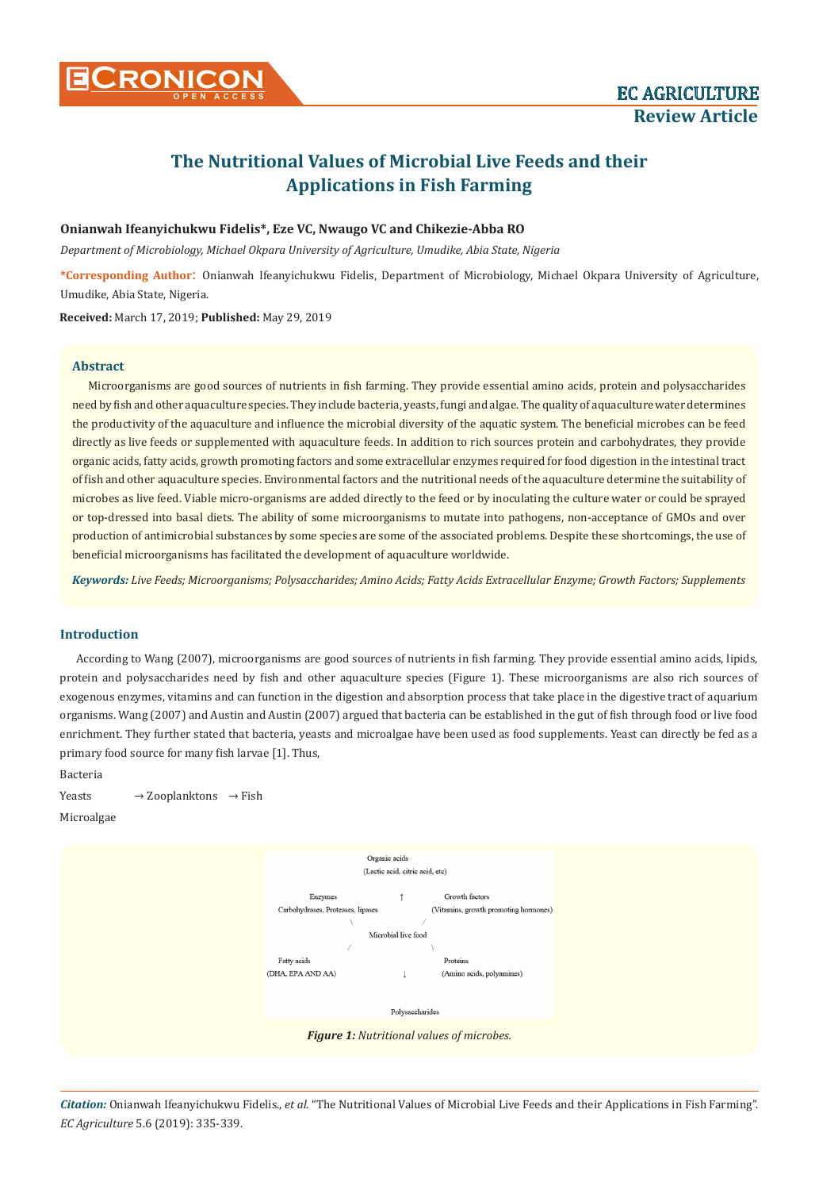

# **The Nutritional Values of Microbial Live Feeds and their Applications in Fish Farming**

# **Onianwah Ifeanyichukwu Fidelis\*, Eze VC, Nwaugo VC and Chikezie-Abba RO**

*Department of Microbiology, Michael Okpara University of Agriculture, Umudike, Abia State, Nigeria*

**\*Corresponding Author**: Onianwah Ifeanyichukwu Fidelis, Department of Microbiology, Michael Okpara University of Agriculture, Umudike, Abia State, Nigeria.

**Received:** March 17, 2019; **Published:** May 29, 2019

## **Abstract**

Microorganisms are good sources of nutrients in fish farming. They provide essential amino acids, protein and polysaccharides need by fish and other aquaculture species. They include bacteria, yeasts, fungi and algae. The quality of aquaculture water determines the productivity of the aquaculture and influence the microbial diversity of the aquatic system. The beneficial microbes can be feed directly as live feeds or supplemented with aquaculture feeds. In addition to rich sources protein and carbohydrates, they provide organic acids, fatty acids, growth promoting factors and some extracellular enzymes required for food digestion in the intestinal tract of fish and other aquaculture species. Environmental factors and the nutritional needs of the aquaculture determine the suitability of microbes as live feed. Viable micro-organisms are added directly to the feed or by inoculating the culture water or could be sprayed or top-dressed into basal diets. The ability of some microorganisms to mutate into pathogens, non-acceptance of GMOs and over production of antimicrobial substances by some species are some of the associated problems. Despite these shortcomings, the use of beneficial microorganisms has facilitated the development of aquaculture worldwide.

*Keywords: Live Feeds; Microorganisms; Polysaccharides; Amino Acids; Fatty Acids Extracellular Enzyme; Growth Factors; Supplements*

# **Introduction**

According to Wang (2007), microorganisms are good sources of nutrients in fish farming. They provide essential amino acids, lipids, protein and polysaccharides need by fish and other aquaculture species (Figure 1). These microorganisms are also rich sources of exogenous enzymes, vitamins and can function in the digestion and absorption process that take place in the digestive tract of aquarium organisms. Wang (2007) and Austin and Austin (2007) argued that bacteria can be established in the gut of fish through food or live food enrichment. They further stated that bacteria, yeasts and microalgae have been used as food supplements. Yeast can directly be fed as a primary food source for many fish larvae [1]. Thus,

Bacteria

Yeasts  $\rightarrow$  Zooplanktons  $\rightarrow$  Fish Microalgae



*Citation:* Onianwah Ifeanyichukwu Fidelis., *et al*. "The Nutritional Values of Microbial Live Feeds and their Applications in Fish Farming". *EC Agriculture* 5.6 (2019): 335-339.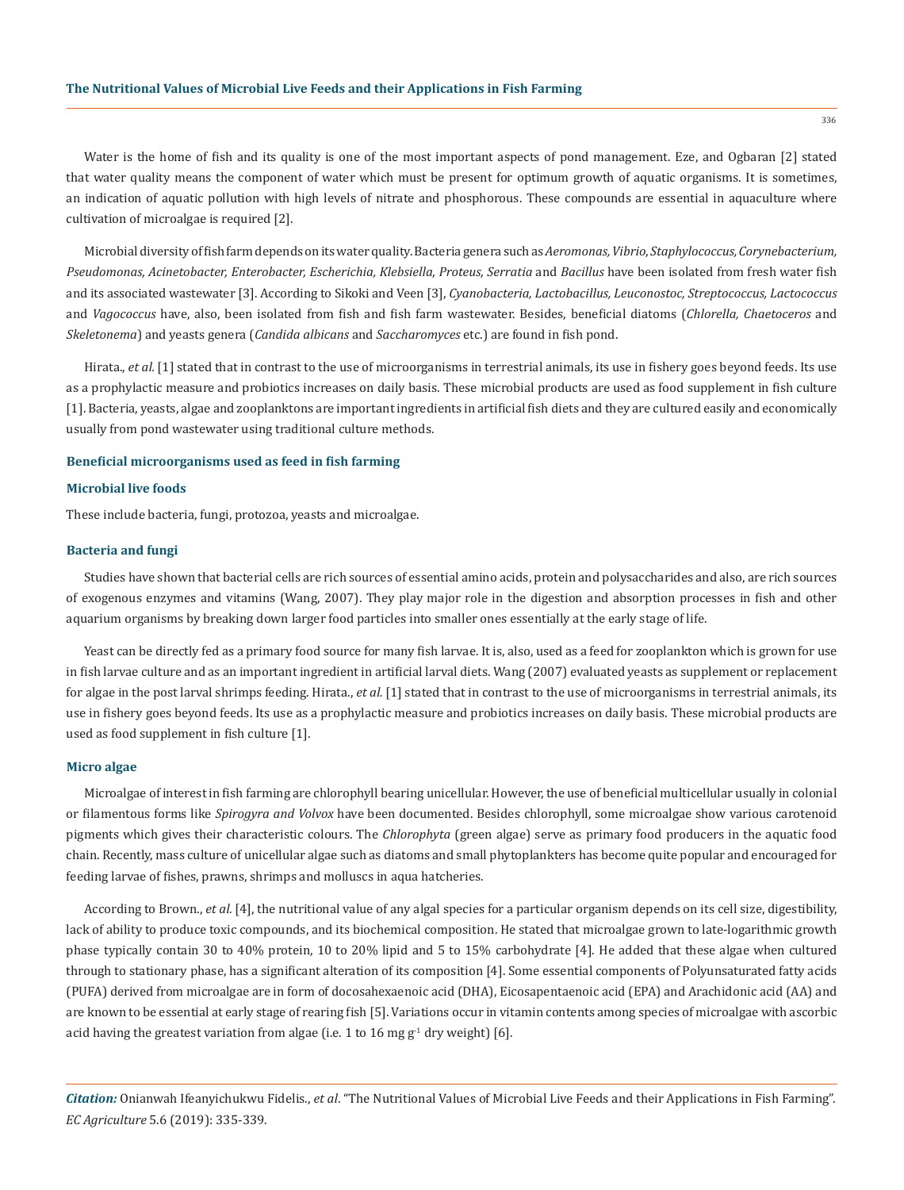Water is the home of fish and its quality is one of the most important aspects of pond management. Eze, and Ogbaran [2] stated that water quality means the component of water which must be present for optimum growth of aquatic organisms. It is sometimes, an indication of aquatic pollution with high levels of nitrate and phosphorous. These compounds are essential in aquaculture where cultivation of microalgae is required [2].

Microbial diversity of fish farm depends on its water quality. Bacteria genera such as *Aeromonas, Vibrio*, *Staphylococcus, Corynebacterium, Pseudomonas, Acinetobacter, Enterobacter, Escherichia, Klebsiella*, *Proteus, Serratia* and *Bacillus* have been isolated from fresh water fish and its associated wastewater [3]. According to Sikoki and Veen [3], *Cyanobacteria, Lactobacillus, Leuconostoc, Streptococcus, Lactococcus*  and *Vagococcus* have, also, been isolated from fish and fish farm wastewater. Besides, beneficial diatoms (*Chlorella, Chaetoceros* and *Skeletonema*) and yeasts genera (*Candida albicans* and *Saccharomyces* etc.) are found in fish pond.

Hirata., *et al.* [1] stated that in contrast to the use of microorganisms in terrestrial animals, its use in fishery goes beyond feeds. Its use as a prophylactic measure and probiotics increases on daily basis. These microbial products are used as food supplement in fish culture [1]. Bacteria, yeasts, algae and zooplanktons are important ingredients in artificial fish diets and they are cultured easily and economically usually from pond wastewater using traditional culture methods.

#### **Beneficial microorganisms used as feed in fish farming**

#### **Microbial live foods**

These include bacteria, fungi, protozoa, yeasts and microalgae.

#### **Bacteria and fungi**

Studies have shown that bacterial cells are rich sources of essential amino acids, protein and polysaccharides and also, are rich sources of exogenous enzymes and vitamins (Wang, 2007). They play major role in the digestion and absorption processes in fish and other aquarium organisms by breaking down larger food particles into smaller ones essentially at the early stage of life.

Yeast can be directly fed as a primary food source for many fish larvae. It is, also, used as a feed for zooplankton which is grown for use in fish larvae culture and as an important ingredient in artificial larval diets. Wang (2007) evaluated yeasts as supplement or replacement for algae in the post larval shrimps feeding. Hirata., *et al.* [1] stated that in contrast to the use of microorganisms in terrestrial animals, its use in fishery goes beyond feeds. Its use as a prophylactic measure and probiotics increases on daily basis. These microbial products are used as food supplement in fish culture [1].

#### **Micro algae**

Microalgae of interest in fish farming are chlorophyll bearing unicellular. However, the use of beneficial multicellular usually in colonial or filamentous forms like *Spirogyra and Volvox* have been documented. Besides chlorophyll, some microalgae show various carotenoid pigments which gives their characteristic colours. The *Chlorophyta* (green algae) serve as primary food producers in the aquatic food chain. Recently, mass culture of unicellular algae such as diatoms and small phytoplankters has become quite popular and encouraged for feeding larvae of fishes, prawns, shrimps and molluscs in aqua hatcheries.

According to Brown., *et al.* [4], the nutritional value of any algal species for a particular organism depends on its cell size, digestibility, lack of ability to produce toxic compounds, and its biochemical composition. He stated that microalgae grown to late-logarithmic growth phase typically contain 30 to 40% protein, 10 to 20% lipid and 5 to 15% carbohydrate [4]. He added that these algae when cultured through to stationary phase, has a significant alteration of its composition [4]. Some essential components of Polyunsaturated fatty acids (PUFA) derived from microalgae are in form of docosahexaenoic acid (DHA), Eicosapentaenoic acid (EPA) and Arachidonic acid (AA) and are known to be essential at early stage of rearing fish [5]. Variations occur in vitamin contents among species of microalgae with ascorbic acid having the greatest variation from algae (i.e. 1 to 16 mg  $g<sup>-1</sup>$  dry weight) [6].

*Citation:* Onianwah Ifeanyichukwu Fidelis., *et al*. "The Nutritional Values of Microbial Live Feeds and their Applications in Fish Farming". *EC Agriculture* 5.6 (2019): 335-339.

336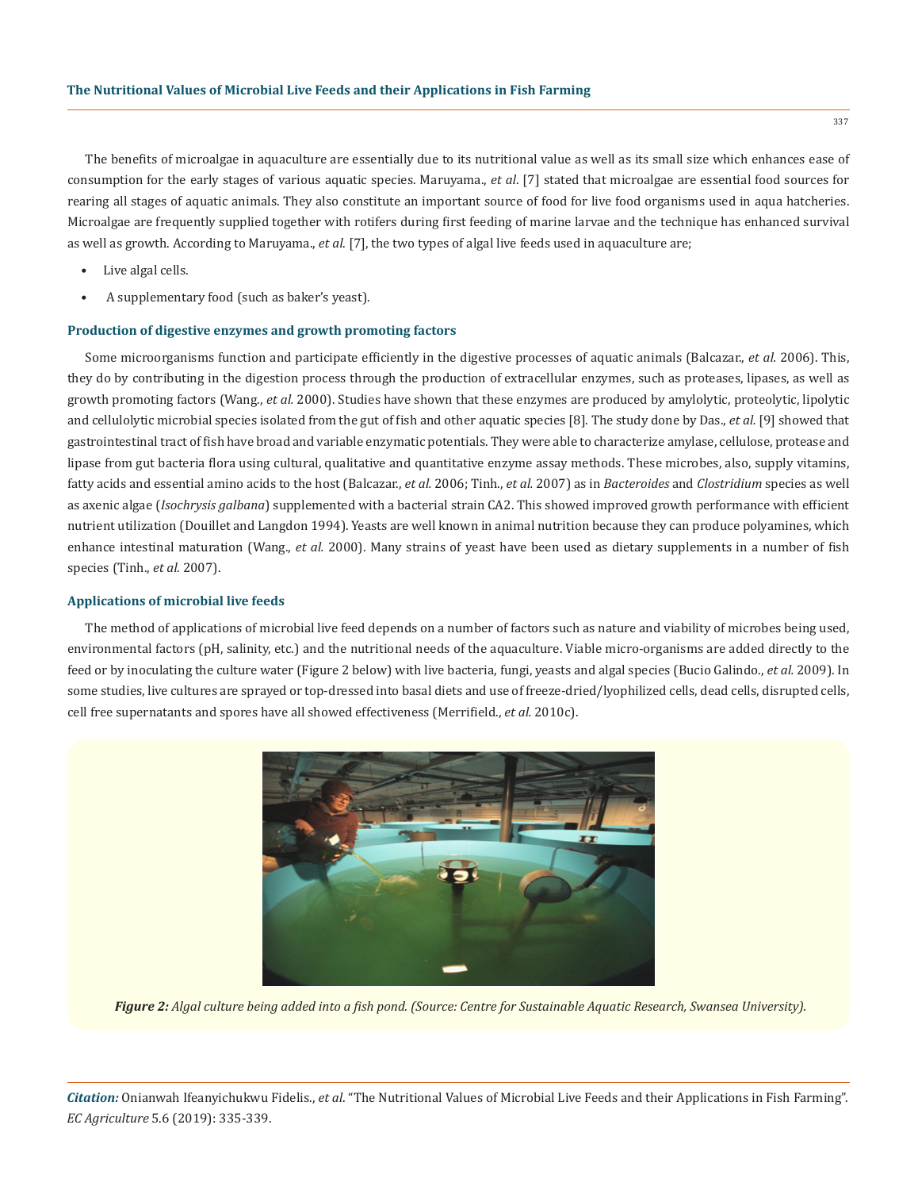The benefits of microalgae in aquaculture are essentially due to its nutritional value as well as its small size which enhances ease of consumption for the early stages of various aquatic species. Maruyama., *et al*. [7] stated that microalgae are essential food sources for rearing all stages of aquatic animals. They also constitute an important source of food for live food organisms used in aqua hatcheries. Microalgae are frequently supplied together with rotifers during first feeding of marine larvae and the technique has enhanced survival as well as growth. According to Maruyama., *et al*. [7], the two types of algal live feeds used in aquaculture are;

- Live algal cells.
- A supplementary food (such as baker's yeast).

#### **Production of digestive enzymes and growth promoting factors**

Some microorganisms function and participate efficiently in the digestive processes of aquatic animals (Balcazar., *et al.* 2006). This, they do by contributing in the digestion process through the production of extracellular enzymes, such as proteases, lipases, as well as growth promoting factors (Wang., *et al.* 2000). Studies have shown that these enzymes are produced by amylolytic, proteolytic, lipolytic and cellulolytic microbial species isolated from the gut of fish and other aquatic species [8]. The study done by Das., *et al.* [9] showed that gastrointestinal tract of fish have broad and variable enzymatic potentials. They were able to characterize amylase, cellulose, protease and lipase from gut bacteria flora using cultural, qualitative and quantitative enzyme assay methods. These microbes, also, supply vitamins, fatty acids and essential amino acids to the host (Balcazar., *et al.* 2006; Tinh., *et al.* 2007) as in *Bacteroides* and *Clostridium* species as well as axenic algae (*Isochrysis galbana*) supplemented with a bacterial strain CA2. This showed improved growth performance with efficient nutrient utilization (Douillet and Langdon 1994). Yeasts are well known in animal nutrition because they can produce polyamines, which enhance intestinal maturation (Wang., *et al.* 2000). Many strains of yeast have been used as dietary supplements in a number of fish species (Tinh., *et al.* 2007).

#### **Applications of microbial live feeds**

The method of applications of microbial live feed depends on a number of factors such as nature and viability of microbes being used, environmental factors (pH, salinity, etc.) and the nutritional needs of the aquaculture. Viable micro-organisms are added directly to the feed or by inoculating the culture water (Figure 2 below) with live bacteria, fungi, yeasts and algal species (Bucio Galindo., *et al.* 2009). In some studies, live cultures are sprayed or top-dressed into basal diets and use of freeze-dried/lyophilized cells, dead cells, disrupted cells, cell free supernatants and spores have all showed effectiveness (Merrifield., *et al.* 2010c).



*Figure 2: Algal culture being added into a fish pond. (Source: Centre for Sustainable Aquatic Research, Swansea University).*

*Citation:* Onianwah Ifeanyichukwu Fidelis., *et al*. "The Nutritional Values of Microbial Live Feeds and their Applications in Fish Farming". *EC Agriculture* 5.6 (2019): 335-339.

337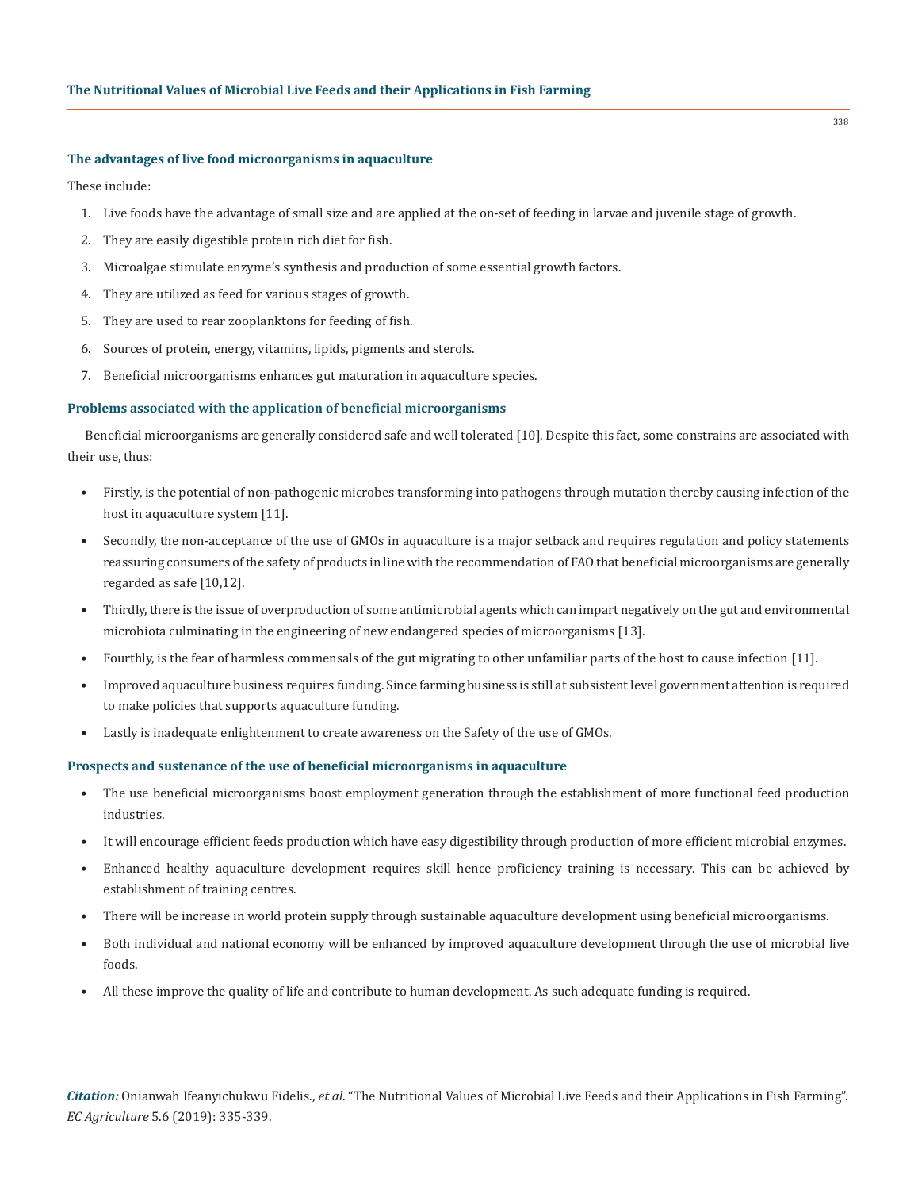#### **The advantages of live food microorganisms in aquaculture**

These include:

- 1. Live foods have the advantage of small size and are applied at the on-set of feeding in larvae and juvenile stage of growth.
- 2. They are easily digestible protein rich diet for fish.
- 3. Microalgae stimulate enzyme's synthesis and production of some essential growth factors.
- 4. They are utilized as feed for various stages of growth.
- 5. They are used to rear zooplanktons for feeding of fish.
- 6. Sources of protein, energy, vitamins, lipids, pigments and sterols.
- 7. Beneficial microorganisms enhances gut maturation in aquaculture species.

## **Problems associated with the application of beneficial microorganisms**

Beneficial microorganisms are generally considered safe and well tolerated [10]. Despite this fact, some constrains are associated with their use, thus:

- Firstly, is the potential of non-pathogenic microbes transforming into pathogens through mutation thereby causing infection of the host in aquaculture system [11].
- Secondly, the non-acceptance of the use of GMOs in aquaculture is a major setback and requires regulation and policy statements reassuring consumers of the safety of products in line with the recommendation of FAO that beneficial microorganisms are generally regarded as safe [10,12].
- Thirdly, there is the issue of overproduction of some antimicrobial agents which can impart negatively on the gut and environmental microbiota culminating in the engineering of new endangered species of microorganisms [13].
- Fourthly, is the fear of harmless commensals of the gut migrating to other unfamiliar parts of the host to cause infection [11].
- Improved aquaculture business requires funding. Since farming business is still at subsistent level government attention is required to make policies that supports aquaculture funding.
- Lastly is inadequate enlightenment to create awareness on the Safety of the use of GMOs.

## **Prospects and sustenance of the use of beneficial microorganisms in aquaculture**

- The use beneficial microorganisms boost employment generation through the establishment of more functional feed production industries.
- It will encourage efficient feeds production which have easy digestibility through production of more efficient microbial enzymes.
- Enhanced healthy aquaculture development requires skill hence proficiency training is necessary. This can be achieved by establishment of training centres.
- There will be increase in world protein supply through sustainable aquaculture development using beneficial microorganisms.
- Both individual and national economy will be enhanced by improved aquaculture development through the use of microbial live foods.
- All these improve the quality of life and contribute to human development. As such adequate funding is required.

338